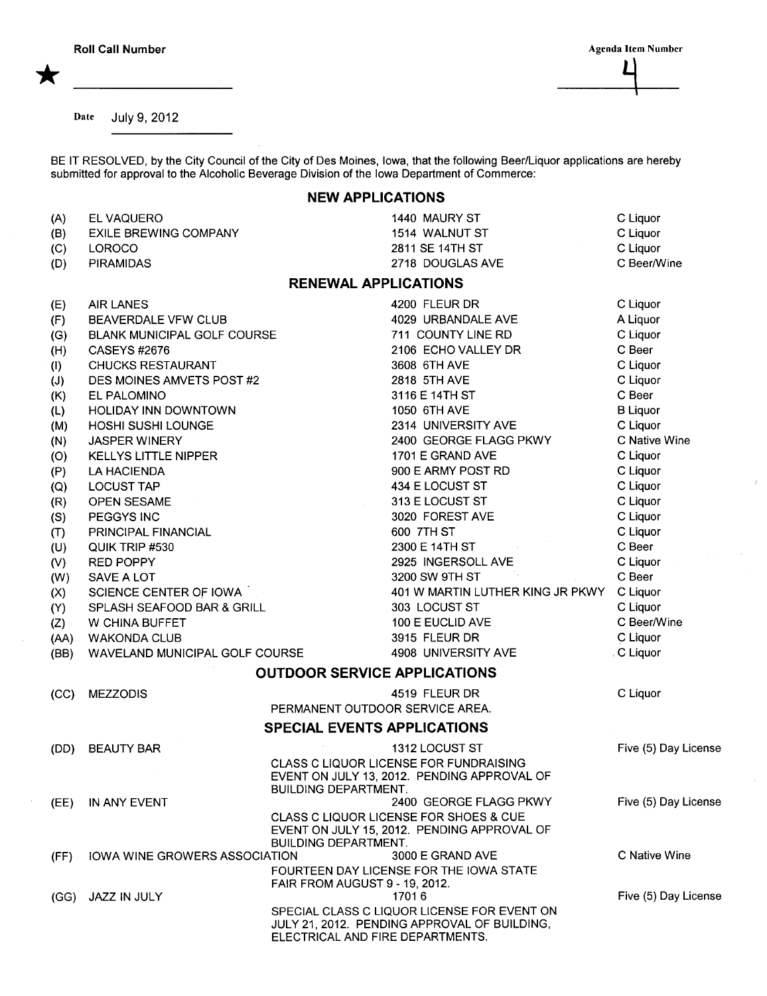\*

Roll Call Number Agenda Item Number Agenda Item Number  $\Box$ 

Date July 9,2012

BE IT RESOLVED, by the City Council of the City of Des Moines, Iowa, that the following Beer/Liquor applications are hereby submitted for approval to the Alcoholic Beverage Division of the Iowa Department of Commerce:

## NEW APPLICATIONS

| (A)  | EL VAQUERO                           | 1440 MAURY ST                                                                                                                   | C Liquor             |  |
|------|--------------------------------------|---------------------------------------------------------------------------------------------------------------------------------|----------------------|--|
| (B)  | <b>EXILE BREWING COMPANY</b>         | 1514 WALNUT ST                                                                                                                  | C Liquor             |  |
| (C)  | LOROCO                               | 2811 SE 14TH ST                                                                                                                 | C Liquor             |  |
| (D)  | <b>PIRAMIDAS</b>                     | 2718 DOUGLAS AVE                                                                                                                | C Beer/Wine          |  |
|      |                                      | <b>RENEWAL APPLICATIONS</b>                                                                                                     |                      |  |
| (E)  | <b>AIR LANES</b>                     | 4200 FLEUR DR                                                                                                                   | C Liquor             |  |
| (F)  | BEAVERDALE VFW CLUB                  | 4029 URBANDALE AVE                                                                                                              | A Liquor             |  |
| (G)  | <b>BLANK MUNICIPAL GOLF COURSE</b>   | 711 COUNTY LINE RD                                                                                                              | C Liquor             |  |
| (H)  | CASEYS #2676                         | 2106 ECHO VALLEY DR                                                                                                             | C Beer               |  |
| (1)  | <b>CHUCKS RESTAURANT</b>             | 3608 6TH AVE                                                                                                                    | C Liquor             |  |
| (J)  | DES MOINES AMVETS POST #2            | 2818 5TH AVE                                                                                                                    | C Liquor             |  |
| (K)  | EL PALOMINO                          | 3116 E 14TH ST                                                                                                                  | C Beer               |  |
| (L)  | <b>HOLIDAY INN DOWNTOWN</b>          | 1050 6TH AVE                                                                                                                    | <b>B</b> Liquor      |  |
| (M)  | HOSHI SUSHI LOUNGE                   | 2314 UNIVERSITY AVE                                                                                                             | C Liquor             |  |
| (N)  | <b>JASPER WINERY</b>                 | 2400 GEORGE FLAGG PKWY                                                                                                          | C Native Wine        |  |
| (O)  | <b>KELLYS LITTLE NIPPER</b>          | 1701 E GRAND AVE                                                                                                                | C Liquor             |  |
| (P)  | LA HACIENDA                          | 900 E ARMY POST RD                                                                                                              | C Liquor             |  |
| (Q)  | <b>LOCUST TAP</b>                    | 434 E LOCUST ST                                                                                                                 | C Liquor             |  |
| (R)  | OPEN SESAME                          | 313 E LOCUST ST                                                                                                                 | C Liquor             |  |
| (S)  | PEGGYS INC                           | 3020 FOREST AVE                                                                                                                 | C Liquor             |  |
| (T)  | PRINCIPAL FINANCIAL                  | 600 7TH ST                                                                                                                      | C Liquor             |  |
| (U)  | QUIK TRIP #530                       | 2300 E 14TH ST                                                                                                                  | C Beer               |  |
| (V)  | <b>RED POPPY</b>                     | 2925 INGERSOLL AVE                                                                                                              | C Liquor             |  |
| (W)  | <b>SAVE A LOT</b>                    | 3200 SW 9TH ST                                                                                                                  | C Beer               |  |
| (X)  | SCIENCE CENTER OF IOWA               | 401 W MARTIN LUTHER KING JR PKWY                                                                                                | C Liquor             |  |
| (Y)  | SPLASH SEAFOOD BAR & GRILL           | 303 LOCUST ST                                                                                                                   | C Liquor             |  |
| (Z)  | W CHINA BUFFET                       | 100 E EUCLID AVE                                                                                                                | C Beer/Wine          |  |
| (AA) | <b>WAKONDA CLUB</b>                  | 3915 FLEUR DR                                                                                                                   | C Liquor             |  |
| (BB) | WAVELAND MUNICIPAL GOLF COURSE       | 4908 UNIVERSITY AVE                                                                                                             | . C Liquor           |  |
|      |                                      | <b>OUTDOOR SERVICE APPLICATIONS</b>                                                                                             |                      |  |
| (CC) | <b>MEZZODIS</b>                      | 4519 FLEUR DR                                                                                                                   | C Liquor             |  |
|      |                                      | PERMANENT OUTDOOR SERVICE AREA.                                                                                                 |                      |  |
|      |                                      | <b>SPECIAL EVENTS APPLICATIONS</b>                                                                                              |                      |  |
| (DD) | <b>BEAUTY BAR</b>                    | 1312 LOCUST ST                                                                                                                  | Five (5) Day License |  |
|      |                                      | CLASS C LIQUOR LICENSE FOR FUNDRAISING<br>EVENT ON JULY 13, 2012. PENDING APPROVAL OF<br><b>BUILDING DEPARTMENT.</b>            |                      |  |
| (EE) | IN ANY EVENT                         | 2400 GEORGE FLAGG PKWY                                                                                                          | Five (5) Day License |  |
|      |                                      | <b>CLASS C LIQUOR LICENSE FOR SHOES &amp; CUE</b><br>EVENT ON JULY 15, 2012. PENDING APPROVAL OF<br><b>BUILDING DEPARTMENT.</b> |                      |  |
| (FF) | <b>IOWA WINE GROWERS ASSOCIATION</b> | 3000 E GRAND AVE                                                                                                                | C Native Wine        |  |
|      |                                      | FOURTEEN DAY LICENSE FOR THE IOWA STATE<br><b>FAIR FROM AUGUST 9 - 19, 2012.</b>                                                |                      |  |
| (GG) | JAZZ IN JULY                         | 17016                                                                                                                           | Five (5) Day License |  |
|      |                                      | SPECIAL CLASS C LIQUOR LICENSE FOR EVENT ON<br>JULY 21, 2012. PENDING APPROVAL OF BUILDING,<br>ELECTRICAL AND FIRE DEPARTMENTS. |                      |  |